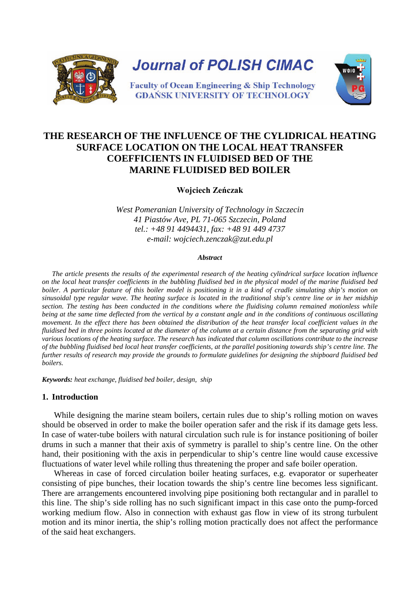

# **THE RESEARCH OF THE INFLUENCE OF THE CYLIDRICAL HEATING SURFACE LOCATION ON THE LOCAL HEAT TRANSFER COEFFICIENTS IN FLUIDISED BED OF THE MARINE FLUIDISED BED BOILER**

**Wojciech Zeńczak**

*West Pomeranian University of Technology in Szczecin 41 Piastów Ave, PL 71-065 Szczecin, Poland tel.: +48 91 4494431, fax: +48 91 449 4737 e-mail: wojciech.zenczak@zut.edu.pl*

#### *Abstract*

*The article presents the results of the experimental research of the heating cylindrical surface location influence on the local heat transfer coefficients in the bubbling fluidised bed in the physical model of the marine fluidised bed*  boiler. A particular feature of this boiler model is positioning it in a kind of cradle simulating ship's motion on *sinusoidal type regular wave. The heating surface is located in the traditional ship's centre line or in her midship section. The testing has been conducted in the conditions where the fluidising column remained motionless while being at the same time deflected from the vertical by a constant angle and in the conditions of continuous oscillating movement. In the effect there has been obtained the distribution of the heat transfer local coefficient values in the fluidised bed in three points located at the diameter of the column at a certain distance from the separating grid with various locations of the heating surface. The research has indicated that column oscillations contribute to the increase of the bubbling fluidised bed local heat transfer coefficients, at the parallel positioning towards ship's centre line. The further results of research may provide the grounds to formulate guidelines for designing the shipboard fluidised bed boilers.*

*Keywords: heat exchange, fluidised bed boiler, design, ship*

# **1. Introduction**

While designing the marine steam boilers, certain rules due to ship's rolling motion on waves should be observed in order to make the boiler operation safer and the risk if its damage gets less. In case of water-tube boilers with natural circulation such rule is for instance positioning of boiler drums in such a manner that their axis of symmetry is parallel to ship's centre line. On the other hand, their positioning with the axis in perpendicular to ship's centre line would cause excessive fluctuations of water level while rolling thus threatening the proper and safe boiler operation.

Whereas in case of forced circulation boiler heating surfaces, e.g. evaporator or superheater consisting of pipe bunches, their location towards the ship's centre line becomes less significant. There are arrangements encountered involving pipe positioning both rectangular and in parallel to this line. The ship's side rolling has no such significant impact in this case onto the pump-forced working medium flow. Also in connection with exhaust gas flow in view of its strong turbulent motion and its minor inertia, the ship's rolling motion practically does not affect the performance of the said heat exchangers.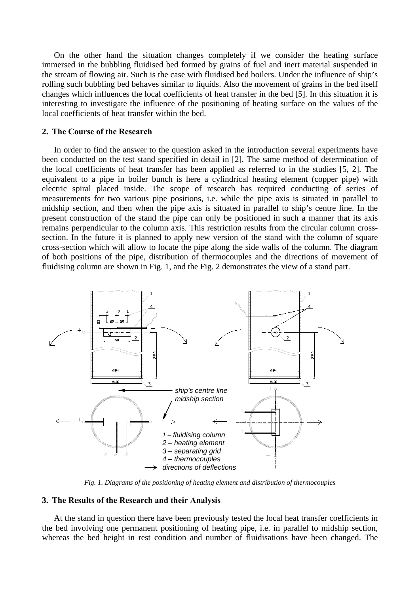On the other hand the situation changes completely if we consider the heating surface immersed in the bubbling fluidised bed formed by grains of fuel and inert material suspended in the stream of flowing air. Such is the case with fluidised bed boilers. Under the influence of ship's rolling such bubbling bed behaves similar to liquids. Also the movement of grains in the bed itself changes which influences the local coefficients of heat transfer in the bed [5]. In this situation it is interesting to investigate the influence of the positioning of heating surface on the values of the local coefficients of heat transfer within the bed.

#### **2. The Course of the Research**

In order to find the answer to the question asked in the introduction several experiments have been conducted on the test stand specified in detail in [2]. The same method of determination of the local coefficients of heat transfer has been applied as referred to in the studies [5, 2]. The equivalent to a pipe in boiler bunch is here a cylindrical heating element (copper pipe) with electric spiral placed inside. The scope of research has required conducting of series of measurements for two various pipe positions, i.e. while the pipe axis is situated in parallel to midship section, and then when the pipe axis is situated in parallel to ship's centre line. In the present construction of the stand the pipe can only be positioned in such a manner that its axis remains perpendicular to the column axis. This restriction results from the circular column crosssection. In the future it is planned to apply new version of the stand with the column of square cross-section which will allow to locate the pipe along the side walls of the column. The diagram of both positions of the pipe, distribution of thermocouples and the directions of movement of fluidising column are shown in Fig. 1, and the Fig. 2 demonstrates the view of a stand part.



*Fig. 1. Diagrams of the positioning of heating element and distribution of thermocouples*

### **3. The Results of the Research and their Analysis**

At the stand in question there have been previously tested the local heat transfer coefficients in the bed involving one permanent positioning of heating pipe, i.e. in parallel to midship section, whereas the bed height in rest condition and number of fluidisations have been changed. The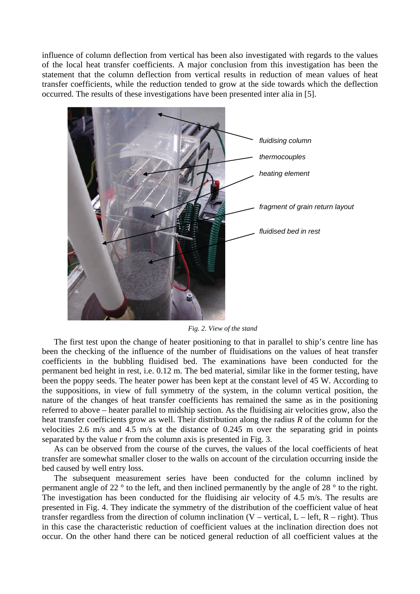influence of column deflection from vertical has been also investigated with regards to the values of the local heat transfer coefficients. A major conclusion from this investigation has been the statement that the column deflection from vertical results in reduction of mean values of heat transfer coefficients, while the reduction tended to grow at the side towards which the deflection occurred. The results of these investigations have been presented inter alia in [5].



*Fig. 2. View of the stand*

The first test upon the change of heater positioning to that in parallel to ship's centre line has been the checking of the influence of the number of fluidisations on the values of heat transfer coefficients in the bubbling fluidised bed. The examinations have been conducted for the permanent bed height in rest, i.e. 0.12 m. The bed material, similar like in the former testing, have been the poppy seeds. The heater power has been kept at the constant level of 45 W. According to the suppositions, in view of full symmetry of the system, in the column vertical position, the nature of the changes of heat transfer coefficients has remained the same as in the positioning referred to above – heater parallel to midship section. As the fluidising air velocities grow, also the heat transfer coefficients grow as well. Their distribution along the radius *R* of the column for the velocities 2.6 m/s and 4.5 m/s at the distance of 0.245 m over the separating grid in points separated by the value *r* from the column axis is presented in Fig. 3.

As can be observed from the course of the curves, the values of the local coefficients of heat transfer are somewhat smaller closer to the walls on account of the circulation occurring inside the bed caused by well entry loss.

The subsequent measurement series have been conducted for the column inclined by permanent angle of 22 ° to the left, and then inclined permanently by the angle of 28 ° to the right. The investigation has been conducted for the fluidising air velocity of 4.5 m/s. The results are presented in Fig. 4. They indicate the symmetry of the distribution of the coefficient value of heat transfer regardless from the direction of column inclination  $(V - vertical, L - left, R - right)$ . Thus in this case the characteristic reduction of coefficient values at the inclination direction does not occur. On the other hand there can be noticed general reduction of all coefficient values at the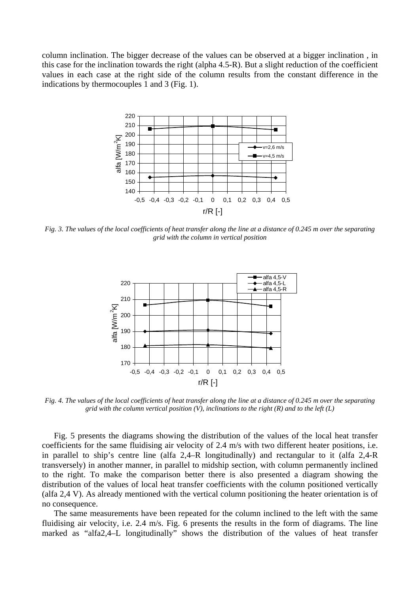column inclination. The bigger decrease of the values can be observed at a bigger inclination , in this case for the inclination towards the right (alpha 4.5-R). But a slight reduction of the coefficient values in each case at the right side of the column results from the constant difference in the indications by thermocouples 1 and 3 (Fig. 1).



*Fig. 3. The values of the local coefficients of heat transfer along the line at a distance of 0.245 m over the separating grid with the column in vertical position*



*Fig. 4. The values of the local coefficients of heat transfer along the line at a distance of 0.245 m over the separating grid with the column vertical position (V), inclinations to the right (R) and to the left (L)*

Fig. 5 presents the diagrams showing the distribution of the values of the local heat transfer coefficients for the same fluidising air velocity of 2.4 m/s with two different heater positions, i.e. in parallel to ship's centre line (alfa 2,4–R longitudinally) and rectangular to it (alfa 2,4-R transversely) in another manner, in parallel to midship section, with column permanently inclined to the right. To make the comparison better there is also presented a diagram showing the distribution of the values of local heat transfer coefficients with the column positioned vertically (alfa 2,4 V). As already mentioned with the vertical column positioning the heater orientation is of no consequence.

The same measurements have been repeated for the column inclined to the left with the same fluidising air velocity, i.e. 2.4 m/s. Fig. 6 presents the results in the form of diagrams. The line marked as "alfa2,4–L longitudinally" shows the distribution of the values of heat transfer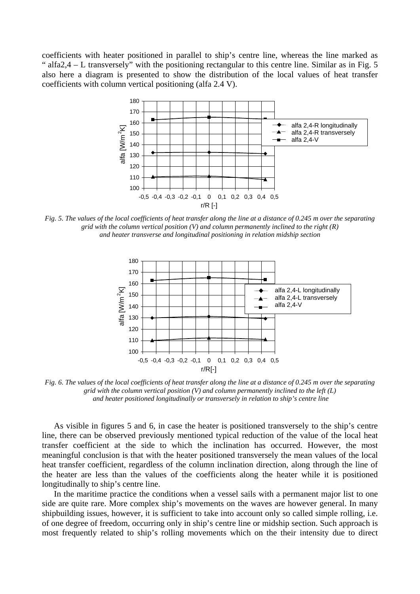coefficients with heater positioned in parallel to ship's centre line, whereas the line marked as " alfa2,4 – L transversely" with the positioning rectangular to this centre line. Similar as in Fig. 5 also here a diagram is presented to show the distribution of the local values of heat transfer coefficients with column vertical positioning (alfa 2.4 V).



*Fig. 5. The values of the local coefficients of heat transfer along the line at a distance of 0.245 m over the separating grid with the column vertical position (V) and column permanently inclined to the right (R) and heater transverse and longitudinal positioning in relation midship section*



*Fig. 6. The values of the local coefficients of heat transfer along the line at a distance of 0.245 m over the separating grid with the column vertical position (V) and column permanently inclined to the left (L) and heater positioned longitudinally or transversely in relation to ship's centre line*

As visible in figures 5 and 6, in case the heater is positioned transversely to the ship's centre line, there can be observed previously mentioned typical reduction of the value of the local heat transfer coefficient at the side to which the inclination has occurred. However, the most meaningful conclusion is that with the heater positioned transversely the mean values of the local heat transfer coefficient, regardless of the column inclination direction, along through the line of the heater are less than the values of the coefficients along the heater while it is positioned longitudinally to ship's centre line.

In the maritime practice the conditions when a vessel sails with a permanent major list to one side are quite rare. More complex ship's movements on the waves are however general. In many shipbuilding issues, however, it is sufficient to take into account only so called simple rolling, i.e. of one degree of freedom, occurring only in ship's centre line or midship section. Such approach is most frequently related to ship's rolling movements which on the their intensity due to direct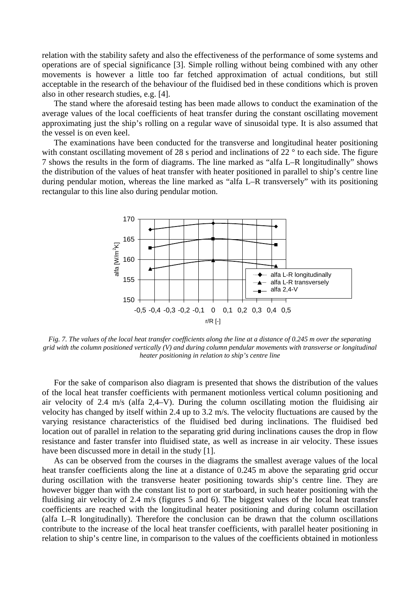relation with the stability safety and also the effectiveness of the performance of some systems and operations are of special significance [3]. Simple rolling without being combined with any other movements is however a little too far fetched approximation of actual conditions, but still acceptable in the research of the behaviour of the fluidised bed in these conditions which is proven also in other research studies, e.g. [4].

The stand where the aforesaid testing has been made allows to conduct the examination of the average values of the local coefficients of heat transfer during the constant oscillating movement approximating just the ship's rolling on a regular wave of sinusoidal type. It is also assumed that the vessel is on even keel.

The examinations have been conducted for the transverse and longitudinal heater positioning with constant oscillating movement of 28 s period and inclinations of 22 ° to each side. The figure 7 shows the results in the form of diagrams. The line marked as "alfa L–R longitudinally" shows the distribution of the values of heat transfer with heater positioned in parallel to ship's centre line during pendular motion, whereas the line marked as "alfa L–R transversely" with its positioning rectangular to this line also during pendular motion.



*Fig. 7. The values of the local heat transfer coefficients along the line at a distance of 0.245 m over the separating grid with the column positioned vertically (V) and during column pendular movements with transverse or longitudinal heater positioning in relation to ship's centre line* 

For the sake of comparison also diagram is presented that shows the distribution of the values of the local heat transfer coefficients with permanent motionless vertical column positioning and air velocity of 2.4 m/s (alfa 2,4–V). During the column oscillating motion the fluidising air velocity has changed by itself within 2.4 up to 3.2 m/s. The velocity fluctuations are caused by the varying resistance characteristics of the fluidised bed during inclinations. The fluidised bed location out of parallel in relation to the separating grid during inclinations causes the drop in flow resistance and faster transfer into fluidised state, as well as increase in air velocity. These issues have been discussed more in detail in the study [1].

As can be observed from the courses in the diagrams the smallest average values of the local heat transfer coefficients along the line at a distance of 0.245 m above the separating grid occur during oscillation with the transverse heater positioning towards ship's centre line. They are however bigger than with the constant list to port or starboard, in such heater positioning with the fluidising air velocity of 2.4 m/s (figures 5 and 6). The biggest values of the local heat transfer coefficients are reached with the longitudinal heater positioning and during column oscillation (alfa L–R longitudinally). Therefore the conclusion can be drawn that the column oscillations contribute to the increase of the local heat transfer coefficients, with parallel heater positioning in relation to ship's centre line, in comparison to the values of the coefficients obtained in motionless